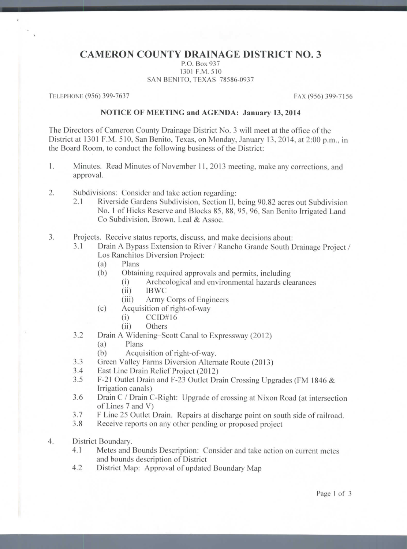## **CAMERON COUNTY DRAINAGE DISTRICT NO. 3**

P.O. Box 937 1301 P.M. 510 SAN BENITO, TEXAS 78586-0937

TELEPHONE (956) 399-7637 FAX (956) 399-7156

 $\hat{\mathbf{x}}$ 

## **NOTICE OF MEETING and AGENDA: January 13, 2014**

The Directors of Cameron County Drainage District No. 3 will meet at the office of the District at 1301 P.M. 510, San Benito, Texas, on Monday. January 13, 2014. at 2:00 p.m., in the Board Room, to conduct the following business of the District:

- 1. Minutes. Read Minutes of November 11, 2013 meeting, make any corrections, and approval.
- 2. Subdivisions: Consider and take action regarding:
	- 2.1 Riverside Gardens Subdivision, Section II, being 90.82 acres out Subdivision No. 1 of Hicks Reserve and Blocks 85, 88, 95, 96, San Benito Irrigated Land Co Subdivision, Brown, Leal & Assoc.
- 3. Projects. Receive status reports, discuss, and make decisions about:
	- 3.1 Drain A Bypass Extension to River / Rancho Grande South Drainage Project / Los Ranchitos Diversion Project:
		- (a) Plans
		- (b) Obtaining required approvals and permits, including
			- (i) Archeological and environmental hazards clearances<br>(ii) IBWC
				- (ii) IBWC
			- (iii) Army Corps of Engineers
		- (c) Acquisition of right-of-way
			- (i) CCID#16
				- (ii) Others
	- 3.2 Drain A Widening-Scott Canal to Expressway (2012)
		- (a) Plans
		- (b) Acquisition of right-of-way.
	- 3.3 Green Valley Farms Diversion Alternate Route (2013)
	- 3.4 East Line Drain Relief Project (2012)
	- 3.5 F-21 Outlet Drain and F-23 Outlet Drain Crossing Upgrades (FM 1846 & Irrigation canals)
	- 3.6 Drain C / Drain C-Right: Upgrade of crossing at Nixon Road (at intersection of Lines 7 and V)
	- 3.7 F Line 25 Outlet Drain. Repairs at discharge point on south side of railroad.
	- 3.8 Receive reports on any other pending or proposed project
- 4. District Boundary.
	- 4.1 Metes and Bounds Description: Consider and take action on current metes and bounds description of District
	- 4.2 District Map: Approval of updated Boundary Map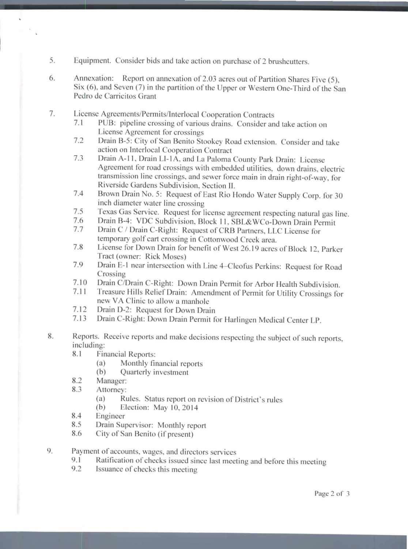- 5. Equipment. Consider bids and take action on purchase of 2 brushcutters.
- 6. Annexation; Report on annexation of 2.03 acres out of Partition Shares Five (5), Six (6). and Seven (7) in the partition of the Upper or Western One-Third of the San Pedro de Carricitos Grant
- 7. License Agreements/Permits/Interlocal Cooperation Contracts
	- 7.1 PUB: pipeline crossing of various drains. Consider and take action on License Agreement for crossings
	- 7.2 Drain B-5: City of San Benito Stookey Road extension. Consider and take action on Interlocal Cooperation Contract
	- 7.3 Drain A-11, Drain LI-1A, and La Paloma County Park Drain: License Agreement for road crossings with embedded utilities, down drains, electric transmission line crossings, and sewer force main in drain right-of-way, for Riverside Gardens Subdivision, Section II.
	- 7.4 Brown Drain No. 5: Request of East Rio Hondo Water Supply Corp. for 30 inch diameter water line crossing
	- 7.5 Texas Gas Service. Request for license agreement respecting natural gas line.
	- 7.6 Drain B-4: VDC Subdivision, Block 11. SBL&WCo-Down Drain Permit
	- 7.7 Drain C / Drain C-Right: Request of CRB Partners, LLC License for temporary golf cart crossing in Cottonwood Creek area.
	- 7.8 License for Down Drain for benefit of West 26.19 acres of Block 12, Parker Tract (owner: Rick Moses)
	- 7.9 Drain E-1 near intersection with Line 4–Cleofus Perkins: Request for Road Crossing
	- 7.10 Drain C/Drain C-Right: Down Drain Permit for Arbor Health Subdivision.
	- 7.11 Treasure Hills Relief Drain: Amendment of Permit for Utility Crossings for new VA Clinic to allow a manhole
	- 7.12 Drain D-2: Request for Down Drain
	- 7.13 Drain C-Right: Down Drain Permit for Harlingen Medical Center LP.
- 8. Reports. Receive reports and make decisions respecting the subject of such reports, including:
	- 8.1 Financial Reports:
		- (a) Monthly financial reports
		- (b) Quarterly investment
	- 8.2 Manager:

V

- 8.3 Attorney:
	- (a) Rules. Status report on revision of District's rules
	- (b) Election: May 10,2014
- 8.4 Engineer
- 8.5 Drain Supervisor: Monthly report
- 8.6 City of San Benito (if present)
- 9. Payment of accounts, wages, and directors services
	- 9.1 Ratification of checks issued since last meeting and before this meeting
	- 9.2 Issuance of checks this meeting